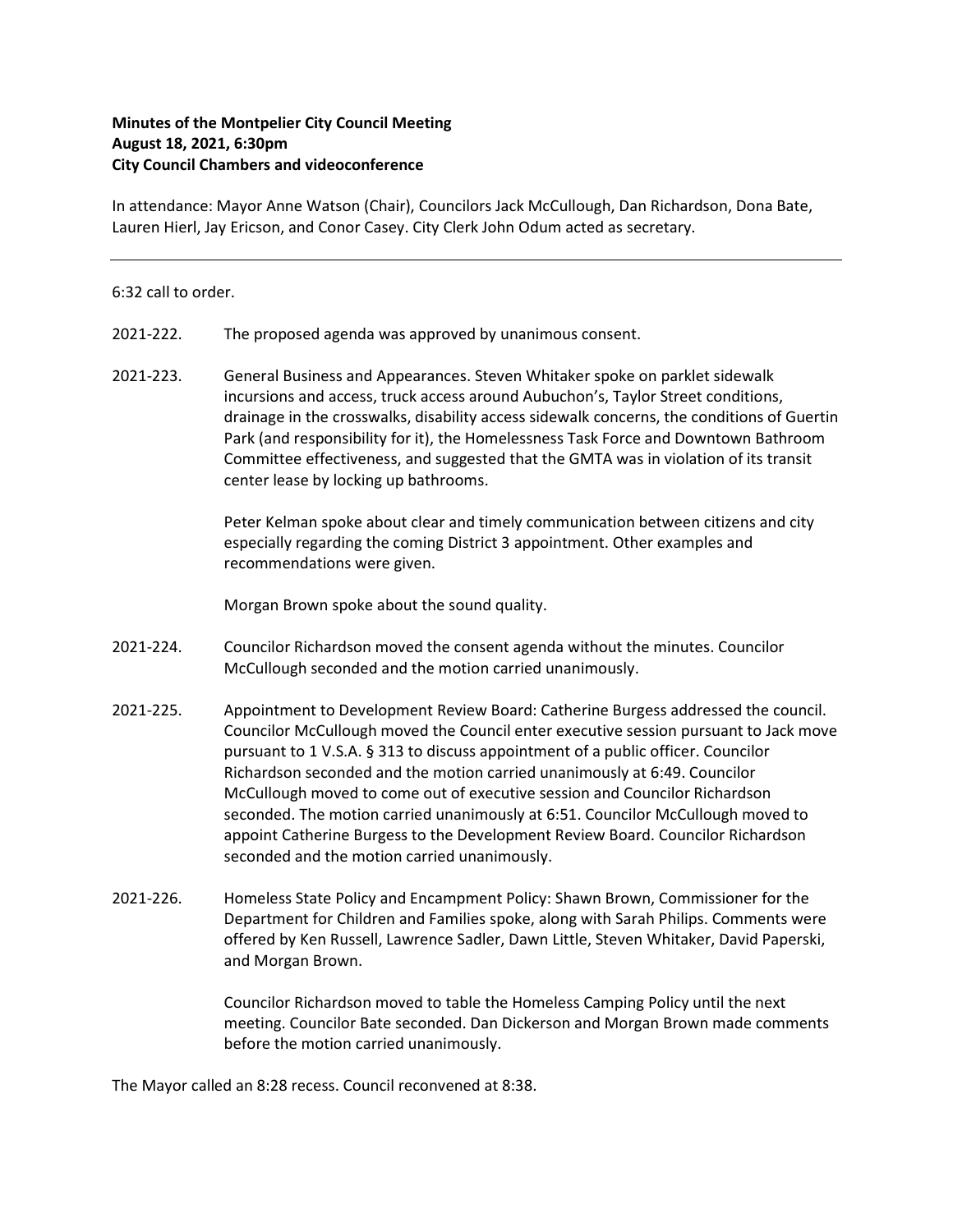## Minutes of the Montpelier City Council Meeting August 18, 2021, 6:30pm City Council Chambers and videoconference

In attendance: Mayor Anne Watson (Chair), Councilors Jack McCullough, Dan Richardson, Dona Bate, Lauren Hierl, Jay Ericson, and Conor Casey. City Clerk John Odum acted as secretary.

## 6:32 call to order.

- 2021-222. The proposed agenda was approved by unanimous consent.
- 2021-223. General Business and Appearances. Steven Whitaker spoke on parklet sidewalk incursions and access, truck access around Aubuchon's, Taylor Street conditions, drainage in the crosswalks, disability access sidewalk concerns, the conditions of Guertin Park (and responsibility for it), the Homelessness Task Force and Downtown Bathroom Committee effectiveness, and suggested that the GMTA was in violation of its transit center lease by locking up bathrooms.

Peter Kelman spoke about clear and timely communication between citizens and city especially regarding the coming District 3 appointment. Other examples and recommendations were given.

Morgan Brown spoke about the sound quality.

- 2021‐224. Councilor Richardson moved the consent agenda without the minutes. Councilor McCullough seconded and the motion carried unanimously.
- 2021-225. Appointment to Development Review Board: Catherine Burgess addressed the council. Councilor McCullough moved the Council enter executive session pursuant to Jack move pursuant to 1 V.S.A. § 313 to discuss appointment of a public officer. Councilor Richardson seconded and the motion carried unanimously at 6:49. Councilor McCullough moved to come out of executive session and Councilor Richardson seconded. The motion carried unanimously at 6:51. Councilor McCullough moved to appoint Catherine Burgess to the Development Review Board. Councilor Richardson seconded and the motion carried unanimously.
- 2021‐226. Homeless State Policy and Encampment Policy: Shawn Brown, Commissioner for the Department for Children and Families spoke, along with Sarah Philips. Comments were offered by Ken Russell, Lawrence Sadler, Dawn Little, Steven Whitaker, David Paperski, and Morgan Brown.

Councilor Richardson moved to table the Homeless Camping Policy until the next meeting. Councilor Bate seconded. Dan Dickerson and Morgan Brown made comments before the motion carried unanimously.

The Mayor called an 8:28 recess. Council reconvened at 8:38.